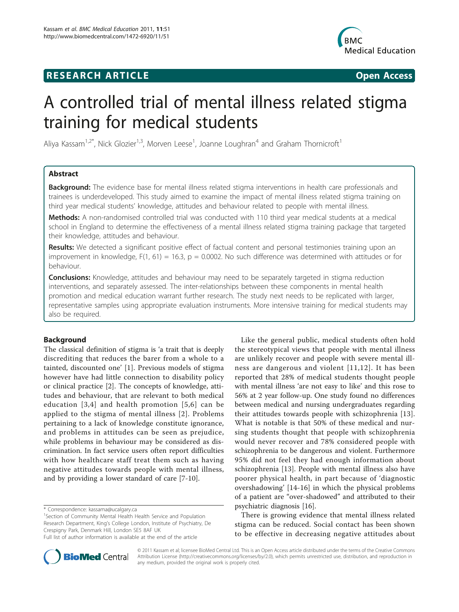# **RESEARCH ARTICLE Example 2018 Open Access**



# A controlled trial of mental illness related stigma training for medical students

Aliya Kassam $^{1,2^*}$ , Nick Glozier $^{1,3}$ , Morven Leese $^1$ , Joanne Loughran $^4$  and Graham Thornicroft $^1$ 

# Abstract

**Background:** The evidence base for mental illness related stigma interventions in health care professionals and trainees is underdeveloped. This study aimed to examine the impact of mental illness related stigma training on third year medical students' knowledge, attitudes and behaviour related to people with mental illness.

Methods: A non-randomised controlled trial was conducted with 110 third year medical students at a medical school in England to determine the effectiveness of a mental illness related stigma training package that targeted their knowledge, attitudes and behaviour.

Results: We detected a significant positive effect of factual content and personal testimonies training upon an improvement in knowledge,  $F(1, 61) = 16.3$ ,  $p = 0.0002$ . No such difference was determined with attitudes or for behaviour.

**Conclusions:** Knowledge, attitudes and behaviour may need to be separately targeted in stigma reduction interventions, and separately assessed. The inter-relationships between these components in mental health promotion and medical education warrant further research. The study next needs to be replicated with larger, representative samples using appropriate evaluation instruments. More intensive training for medical students may also be required.

# Background

The classical definition of stigma is 'a trait that is deeply discrediting that reduces the barer from a whole to a tainted, discounted one' [[1\]](#page-8-0). Previous models of stigma however have had little connection to disability policy or clinical practice [\[2](#page-8-0)]. The concepts of knowledge, attitudes and behaviour, that are relevant to both medical education [[3](#page-8-0),[4](#page-8-0)] and health promotion [[5,6\]](#page-8-0) can be applied to the stigma of mental illness [[2](#page-8-0)]. Problems pertaining to a lack of knowledge constitute ignorance, and problems in attitudes can be seen as prejudice, while problems in behaviour may be considered as discrimination. In fact service users often report difficulties with how healthcare staff treat them such as having negative attitudes towards people with mental illness, and by providing a lower standard of care [[7-10\]](#page-8-0).

\* Correspondence: [kassama@ucalgary.ca](mailto:kassama@ucalgary.ca)



There is growing evidence that mental illness related stigma can be reduced. Social contact has been shown to be effective in decreasing negative attitudes about



© 2011 Kassam et al; licensee BioMed Central Ltd. This is an Open Access article distributed under the terms of the Creative Commons Attribution License [\(http://creativecommons.org/licenses/by/2.0](http://creativecommons.org/licenses/by/2.0)), which permits unrestricted use, distribution, and reproduction in any medium, provided the original work is properly cited.

<sup>&</sup>lt;sup>1</sup>Section of Community Mental Health Health Service and Population Research Department, King's College London, Institute of Psychiatry, De Crespigny Park, Denmark Hill, London SE5 8AF UK

Full list of author information is available at the end of the article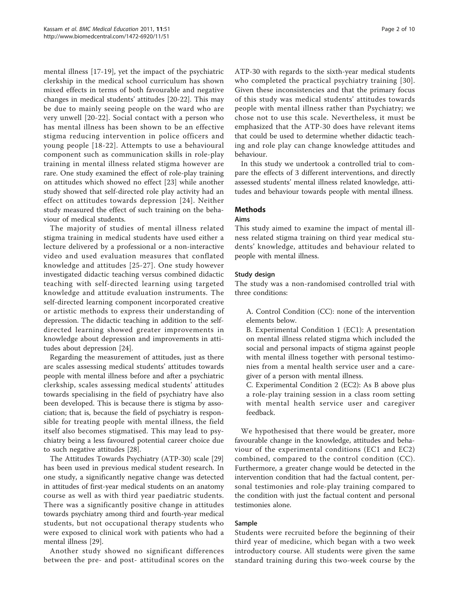mental illness [[17](#page-8-0)-[19\]](#page-8-0), yet the impact of the psychiatric clerkship in the medical school curriculum has shown mixed effects in terms of both favourable and negative changes in medical students' attitudes [\[20](#page-8-0)-[22](#page-8-0)]. This may be due to mainly seeing people on the ward who are very unwell [[20](#page-8-0)-[22](#page-8-0)]. Social contact with a person who has mental illness has been shown to be an effective stigma reducing intervention in police officers and young people [[18](#page-8-0)-[22](#page-8-0)]. Attempts to use a behavioural component such as communication skills in role-play training in mental illness related stigma however are rare. One study examined the effect of role-play training on attitudes which showed no effect [\[23](#page-8-0)] while another study showed that self-directed role play activity had an effect on attitudes towards depression [[24](#page-8-0)]. Neither study measured the effect of such training on the behaviour of medical students.

The majority of studies of mental illness related stigma training in medical students have used either a lecture delivered by a professional or a non-interactive video and used evaluation measures that conflated knowledge and attitudes [[25-27\]](#page-8-0). One study however investigated didactic teaching versus combined didactic teaching with self-directed learning using targeted knowledge and attitude evaluation instruments. The self-directed learning component incorporated creative or artistic methods to express their understanding of depression. The didactic teaching in addition to the selfdirected learning showed greater improvements in knowledge about depression and improvements in attitudes about depression [[24](#page-8-0)].

Regarding the measurement of attitudes, just as there are scales assessing medical students' attitudes towards people with mental illness before and after a psychiatric clerkship, scales assessing medical students' attitudes towards specialising in the field of psychiatry have also been developed. This is because there is stigma by association; that is, because the field of psychiatry is responsible for treating people with mental illness, the field itself also becomes stigmatised. This may lead to psychiatry being a less favoured potential career choice due to such negative attitudes [\[28\]](#page-8-0).

The Attitudes Towards Psychiatry (ATP-30) scale [[29](#page-8-0)] has been used in previous medical student research. In one study, a significantly negative change was detected in attitudes of first-year medical students on an anatomy course as well as with third year paediatric students. There was a significantly positive change in attitudes towards psychiatry among third and fourth-year medical students, but not occupational therapy students who were exposed to clinical work with patients who had a mental illness [\[29\]](#page-8-0).

Another study showed no significant differences between the pre- and post- attitudinal scores on the ATP-30 with regards to the sixth-year medical students who completed the practical psychiatry training [[30](#page-9-0)]. Given these inconsistencies and that the primary focus of this study was medical students' attitudes towards people with mental illness rather than Psychiatry; we chose not to use this scale. Nevertheless, it must be emphasized that the ATP-30 does have relevant items that could be used to determine whether didactic teaching and role play can change knowledge attitudes and behaviour.

In this study we undertook a controlled trial to compare the effects of 3 different interventions, and directly assessed students' mental illness related knowledge, attitudes and behaviour towards people with mental illness.

# Methods

# Aims

This study aimed to examine the impact of mental illness related stigma training on third year medical students' knowledge, attitudes and behaviour related to people with mental illness.

# Study design

The study was a non-randomised controlled trial with three conditions:

A. Control Condition (CC): none of the intervention elements below.

B. Experimental Condition 1 (EC1): A presentation on mental illness related stigma which included the social and personal impacts of stigma against people with mental illness together with personal testimonies from a mental health service user and a caregiver of a person with mental illness.

C. Experimental Condition 2 (EC2): As B above plus a role-play training session in a class room setting with mental health service user and caregiver feedback.

We hypothesised that there would be greater, more favourable change in the knowledge, attitudes and behaviour of the experimental conditions (EC1 and EC2) combined, compared to the control condition (CC). Furthermore, a greater change would be detected in the intervention condition that had the factual content, personal testimonies and role-play training compared to the condition with just the factual content and personal testimonies alone.

# Sample

Students were recruited before the beginning of their third year of medicine, which began with a two week introductory course. All students were given the same standard training during this two-week course by the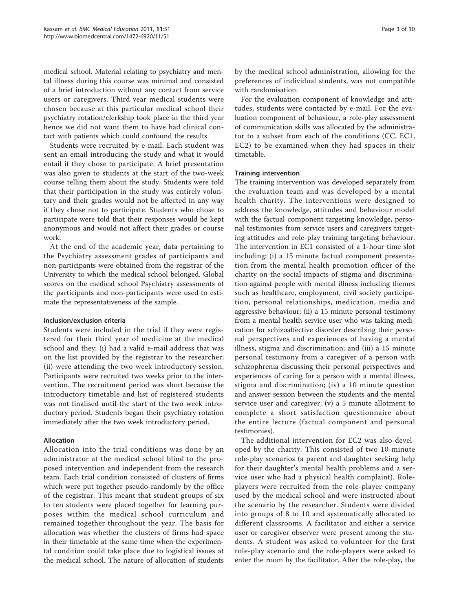medical school. Material relating to psychiatry and mental illness during this course was minimal and consisted of a brief introduction without any contact from service users or caregivers. Third year medical students were chosen because at this particular medical school their psychiatry rotation/clerkship took place in the third year hence we did not want them to have had clinical contact with patients which could confound the results.

Students were recruited by e-mail. Each student was sent an email introducing the study and what it would entail if they chose to participate. A brief presentation was also given to students at the start of the two-week course telling them about the study. Students were told that their participation in the study was entirely voluntary and their grades would not be affected in any way if they chose not to participate. Students who chose to participate were told that their responses would be kept anonymous and would not affect their grades or course work.

At the end of the academic year, data pertaining to the Psychiatry assessment grades of participants and non-participants were obtained from the registrar of the University to which the medical school belonged. Global scores on the medical school Psychiatry assessments of the participants and non-participants were used to estimate the representativeness of the sample.

#### Inclusion/exclusion criteria

Students were included in the trial if they were registered for their third year of medicine at the medical school and they: (i) had a valid e-mail address that was on the list provided by the registrar to the researcher; (ii) were attending the two week introductory session. Participants were recruited two weeks prior to the intervention. The recruitment period was short because the introductory timetable and list of registered students was not finalised until the start of the two week introductory period. Students began their psychiatry rotation immediately after the two week introductory period.

# Allocation

Allocation into the trial conditions was done by an administrator at the medical school blind to the proposed intervention and independent from the research team. Each trial condition consisted of clusters of firms which were put together pseudo-randomly by the office of the registrar. This meant that student groups of six to ten students were placed together for learning purposes within the medical school curriculum and remained together throughout the year. The basis for allocation was whether the clusters of firms had space in their timetable at the same time when the experimental condition could take place due to logistical issues at the medical school. The nature of allocation of students by the medical school administration, allowing for the preferences of individual students, was not compatible with randomisation.

For the evaluation component of knowledge and attitudes, students were contacted by e-mail. For the evaluation component of behaviour, a role-play assessment of communication skills was allocated by the administrator to a subset from each of the conditions (CC, EC1, EC2) to be examined when they had spaces in their timetable.

# Training intervention

The training intervention was developed separately from the evaluation team and was developed by a mental health charity. The interventions were designed to address the knowledge, attitudes and behaviour model with the factual component targeting knowledge, personal testimonies from service users and caregivers targeting attitudes and role-play training targeting behaviour. The intervention in EC1 consisted of a 1-hour time slot including: (i) a 15 minute factual component presentation from the mental health promotion officer of the charity on the social impacts of stigma and discrimination against people with mental illness including themes such as healthcare, employment, civil society participation, personal relationships, medication, media and aggressive behaviour; (ii) a 15 minute personal testimony from a mental health service user who was taking medication for schizoaffective disorder describing their personal perspectives and experiences of having a mental illness, stigma and discrimination; and (iii) a 15 minute personal testimony from a caregiver of a person with schizophrenia discussing their personal perspectives and experiences of caring for a person with a mental illness, stigma and discrimination; (iv) a 10 minute question and answer session between the students and the mental service user and caregiver; (v) a 5 minute allotment to complete a short satisfaction questionnaire about the entire lecture (factual component and personal testimonies).

The additional intervention for EC2 was also developed by the charity. This consisted of two 10-minute role-play scenarios (a parent and daughter seeking help for their daughter's mental health problems and a service user who had a physical health complaint). Roleplayers were recruited from the role-player company used by the medical school and were instructed about the scenario by the researcher. Students were divided into groups of 8 to 10 and systematically allocated to different classrooms. A facilitator and either a service user or caregiver observer were present among the students. A student was asked to volunteer for the first role-play scenario and the role-players were asked to enter the room by the facilitator. After the role-play, the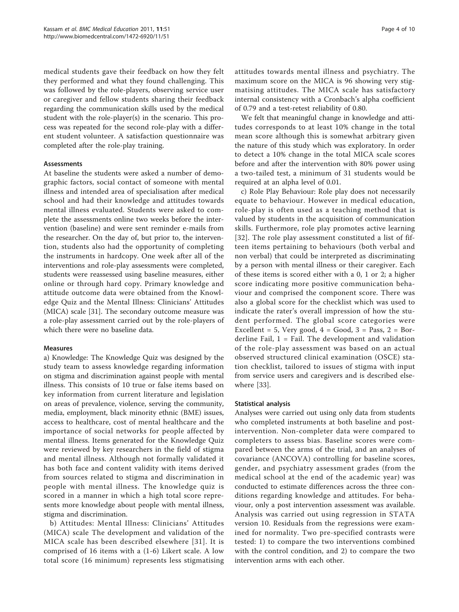medical students gave their feedback on how they felt they performed and what they found challenging. This was followed by the role-players, observing service user or caregiver and fellow students sharing their feedback regarding the communication skills used by the medical student with the role-player(s) in the scenario. This process was repeated for the second role-play with a different student volunteer. A satisfaction questionnaire was completed after the role-play training.

# **Assessments**

At baseline the students were asked a number of demographic factors, social contact of someone with mental illness and intended area of specialisation after medical school and had their knowledge and attitudes towards mental illness evaluated. Students were asked to complete the assessments online two weeks before the intervention (baseline) and were sent reminder e-mails from the researcher. On the day of, but prior to, the intervention, students also had the opportunity of completing the instruments in hardcopy. One week after all of the interventions and role-play assessments were completed, students were reassessed using baseline measures, either online or through hard copy. Primary knowledge and attitude outcome data were obtained from the Knowledge Quiz and the Mental Illness: Clinicians' Attitudes (MICA) scale [[31\]](#page-9-0). The secondary outcome measure was a role-play assessment carried out by the role-players of which there were no baseline data.

#### Measures

a) Knowledge: The Knowledge Quiz was designed by the study team to assess knowledge regarding information on stigma and discrimination against people with mental illness. This consists of 10 true or false items based on key information from current literature and legislation on areas of prevalence, violence, serving the community, media, employment, black minority ethnic (BME) issues, access to healthcare, cost of mental healthcare and the importance of social networks for people affected by mental illness. Items generated for the Knowledge Quiz were reviewed by key researchers in the field of stigma and mental illness. Although not formally validated it has both face and content validity with items derived from sources related to stigma and discrimination in people with mental illness. The knowledge quiz is scored in a manner in which a high total score represents more knowledge about people with mental illness, stigma and discrimination.

b) Attitudes: Mental Illness: Clinicians' Attitudes (MICA) scale The development and validation of the MICA scale has been described elsewhere [[31](#page-9-0)]. It is comprised of 16 items with a (1-6) Likert scale. A low total score (16 minimum) represents less stigmatising attitudes towards mental illness and psychiatry. The maximum score on the MICA is 96 showing very stigmatising attitudes. The MICA scale has satisfactory internal consistency with a Cronbach's alpha coefficient of 0.79 and a test-retest reliability of 0.80.

We felt that meaningful change in knowledge and attitudes corresponds to at least 10% change in the total mean score although this is somewhat arbitrary given the nature of this study which was exploratory. In order to detect a 10% change in the total MICA scale scores before and after the intervention with 80% power using a two-tailed test, a minimum of 31 students would be required at an alpha level of 0.01.

c) Role Play Behaviour: Role play does not necessarily equate to behaviour. However in medical education, role-play is often used as a teaching method that is valued by students in the acquisition of communication skills. Furthermore, role play promotes active learning [[32](#page-9-0)]. The role play assessment constituted a list of fifteen items pertaining to behaviours (both verbal and non verbal) that could be interpreted as discriminating by a person with mental illness or their caregiver. Each of these items is scored either with a 0, 1 or 2; a higher score indicating more positive communication behaviour and comprised the component score. There was also a global score for the checklist which was used to indicate the rater's overall impression of how the student performed. The global score categories were Excellent = 5, Very good,  $4 = Good$ ,  $3 = Pass$ ,  $2 = Bor$ derline Fail,  $1 =$  Fail. The development and validation of the role-play assessment was based on an actual observed structured clinical examination (OSCE) station checklist, tailored to issues of stigma with input from service users and caregivers and is described elsewhere [\[33](#page-9-0)].

#### Statistical analysis

Analyses were carried out using only data from students who completed instruments at both baseline and postintervention. Non-completer data were compared to completers to assess bias. Baseline scores were compared between the arms of the trial, and an analyses of covariance (ANCOVA) controlling for baseline scores, gender, and psychiatry assessment grades (from the medical school at the end of the academic year) was conducted to estimate differences across the three conditions regarding knowledge and attitudes. For behaviour, only a post intervention assessment was available. Analysis was carried out using regression in STATA version 10. Residuals from the regressions were examined for normality. Two pre-specified contrasts were tested: 1) to compare the two interventions combined with the control condition, and 2) to compare the two intervention arms with each other.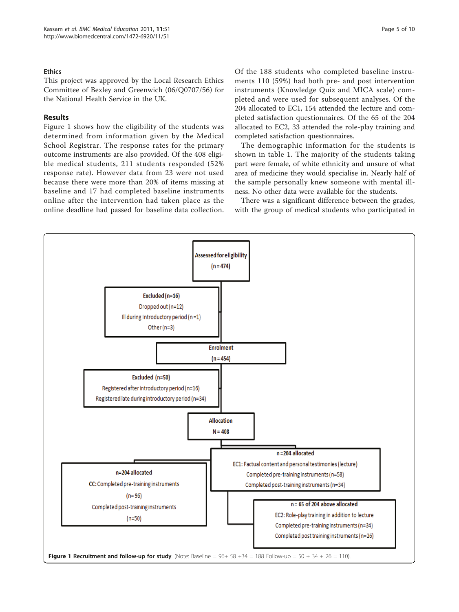# **Ethics**

Page 5 of 10

This project was approved by the Local Research Ethics Committee of Bexley and Greenwich (06/Q0707/56) for the National Health Service in the UK.

# Results

Figure 1 shows how the eligibility of the students was determined from information given by the Medical School Registrar. The response rates for the primary outcome instruments are also provided. Of the 408 eligible medical students, 211 students responded (52% response rate). However data from 23 were not used because there were more than 20% of items missing at baseline and 17 had completed baseline instruments online after the intervention had taken place as the online deadline had passed for baseline data collection. Of the 188 students who completed baseline instruments 110 (59%) had both pre- and post intervention instruments (Knowledge Quiz and MICA scale) completed and were used for subsequent analyses. Of the 204 allocated to EC1, 154 attended the lecture and completed satisfaction questionnaires. Of the 65 of the 204 allocated to EC2, 33 attended the role-play training and completed satisfaction questionnaires.

The demographic information for the students is shown in table [1](#page-5-0). The majority of the students taking part were female, of white ethnicity and unsure of what area of medicine they would specialise in. Nearly half of the sample personally knew someone with mental illness. No other data were available for the students.

There was a significant difference between the grades, with the group of medical students who participated in

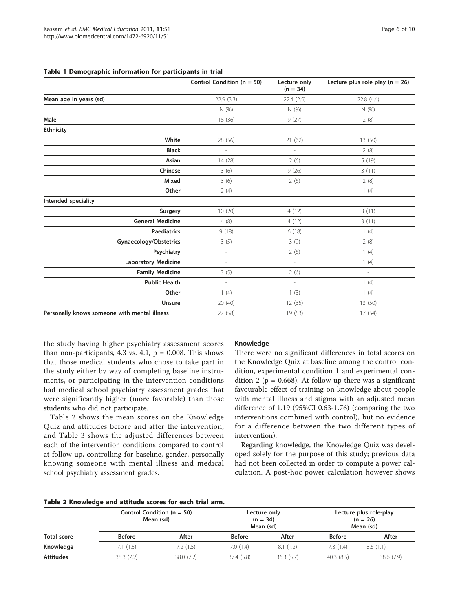<span id="page-5-0"></span>

|  |  | Table 1 Demographic information for participants in trial |  |  |  |  |  |
|--|--|-----------------------------------------------------------|--|--|--|--|--|
|--|--|-----------------------------------------------------------|--|--|--|--|--|

|                                              | Control Condition ( $n = 50$ ) | Lecture only<br>$(n = 34)$ | Lecture plus role play ( $n = 26$ ) |
|----------------------------------------------|--------------------------------|----------------------------|-------------------------------------|
| Mean age in years (sd)                       | 22.9(3.3)                      | 22.4(2.5)                  | 22.8 (4.4)                          |
|                                              | N(% )                          | N(% )                      | N(%)                                |
| Male                                         | 18 (36)                        | 9(27)                      | 2(8)                                |
| <b>Ethnicity</b>                             |                                |                            |                                     |
| White                                        | 28 (56)                        | 21(62)                     | 13 (50)                             |
| <b>Black</b>                                 | $\overline{\phantom{a}}$       | $\overline{\phantom{a}}$   | 2(8)                                |
| Asian                                        | 14 (28)                        | 2(6)                       | 5(19)                               |
| Chinese                                      | 3(6)                           | 9(26)                      | 3(11)                               |
| Mixed                                        | 3(6)                           | 2(6)                       | 2(8)                                |
| Other                                        | 2(4)                           | $\overline{\phantom{a}}$   | 1(4)                                |
| Intended speciality                          |                                |                            |                                     |
| Surgery                                      | 10(20)                         | 4(12)                      | 3(11)                               |
| <b>General Medicine</b>                      | 4(8)                           | 4(12)                      | 3(11)                               |
| <b>Paediatrics</b>                           | 9(18)                          | 6(18)                      | 1(4)                                |
| Gynaecology/Obstetrics                       | 3(5)                           | 3(9)                       | 2(8)                                |
| Psychiatry                                   | $\frac{1}{2}$                  | 2(6)                       | 1(4)                                |
| <b>Laboratory Medicine</b>                   | $\overline{\phantom{a}}$       | $\overline{\phantom{a}}$   | 1(4)                                |
| <b>Family Medicine</b>                       | 3(5)                           | 2(6)                       | $\overline{a}$                      |
| <b>Public Health</b>                         | $\overline{a}$                 | $\overline{a}$             | 1(4)                                |
| Other                                        | 1(4)                           | 1(3)                       | 1(4)                                |
| Unsure                                       | 20(40)                         | 12(35)                     | 13 (50)                             |
| Personally knows someone with mental illness | 27 (58)                        | 19 (53)                    | 17(54)                              |

the study having higher psychiatry assessment scores than non-participants, 4.3 vs. 4.1,  $p = 0.008$ . This shows that those medical students who chose to take part in the study either by way of completing baseline instruments, or participating in the intervention conditions had medical school psychiatry assessment grades that were significantly higher (more favorable) than those students who did not participate.

Table 2 shows the mean scores on the Knowledge Quiz and attitudes before and after the intervention, and Table [3](#page-6-0) shows the adjusted differences between each of the intervention conditions compared to control at follow up, controlling for baseline, gender, personally knowing someone with mental illness and medical school psychiatry assessment grades.

# Knowledge

There were no significant differences in total scores on the Knowledge Quiz at baseline among the control condition, experimental condition 1 and experimental condition 2 ( $p = 0.668$ ). At follow up there was a significant favourable effect of training on knowledge about people with mental illness and stigma with an adjusted mean difference of 1.19 (95%CI 0.63-1.76) (comparing the two interventions combined with control), but no evidence for a difference between the two different types of intervention).

Regarding knowledge, the Knowledge Quiz was developed solely for the purpose of this study; previous data had not been collected in order to compute a power calculation. A post-hoc power calculation however shows

#### Table 2 Knowledge and attitude scores for each trial arm.

|                    | Control Condition ( $n = 50$ )<br>Mean (sd) |           | Lecture only<br>$(n = 34)$<br>Mean (sd) |           | Lecture plus role-play<br>$(n = 26)$<br>Mean (sd) |            |
|--------------------|---------------------------------------------|-----------|-----------------------------------------|-----------|---------------------------------------------------|------------|
| <b>Total score</b> | <b>Before</b>                               | After     | <b>Before</b>                           | After     | <b>Before</b>                                     | After      |
| Knowledge          | 7.1(1.5)                                    | 7.2(1.5)  | 7.0(1.4)                                | 8.1(1.2)  | 7.3(1.4)                                          | 8.6(1.1)   |
| <b>Attitudes</b>   | 38.3(7.2)                                   | 38.0(7.2) | 37.4 (5.8)                              | 36.3(5.7) | 40.3(8.5)                                         | 38.6 (7.9) |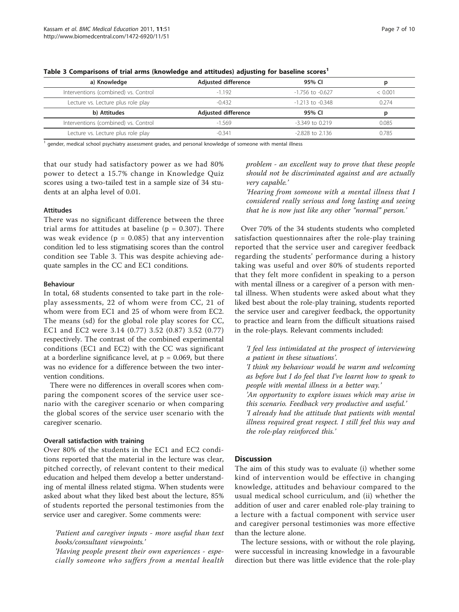| a) Knowledge                         | <b>Adjusted difference</b> | 95% CI               |         |
|--------------------------------------|----------------------------|----------------------|---------|
| Interventions (combined) vs. Control | $-1.192$                   | $-1.756$ to $-0.627$ | < 0.001 |
| Lecture vs. Lecture plus role play   | $-0.432$                   | $-1.213$ to $-0.348$ | 0.274   |
|                                      |                            |                      |         |
| b) Attitudes                         | <b>Adjusted difference</b> | 95% CI               |         |
| Interventions (combined) vs. Control | $-1569$                    | $-3.349$ to 0.219    | 0.085   |

<span id="page-6-0"></span>Table 3 Comparisons of trial arms (knowledge and attitudes) adjusting for baseline scores<sup>1</sup>

<sup>1</sup> gender, medical school psychiatry assessment grades, and personal knowledge of someone with mental illness

that our study had satisfactory power as we had 80% power to detect a 15.7% change in Knowledge Quiz scores using a two-tailed test in a sample size of 34 students at an alpha level of 0.01.

#### Attitudes

There was no significant difference between the three trial arms for attitudes at baseline ( $p = 0.307$ ). There was weak evidence ( $p = 0.085$ ) that any intervention condition led to less stigmatising scores than the control condition see Table 3. This was despite achieving adequate samples in the CC and EC1 conditions.

#### Behaviour

In total, 68 students consented to take part in the roleplay assessments, 22 of whom were from CC, 21 of whom were from EC1 and 25 of whom were from EC2. The means (sd) for the global role play scores for CC, EC1 and EC2 were 3.14 (0.77) 3.52 (0.87) 3.52 (0.77) respectively. The contrast of the combined experimental conditions (EC1 and EC2) with the CC was significant at a borderline significance level, at  $p = 0.069$ , but there was no evidence for a difference between the two intervention conditions.

There were no differences in overall scores when comparing the component scores of the service user scenario with the caregiver scenario or when comparing the global scores of the service user scenario with the caregiver scenario.

#### Overall satisfaction with training

Over 80% of the students in the EC1 and EC2 conditions reported that the material in the lecture was clear, pitched correctly, of relevant content to their medical education and helped them develop a better understanding of mental illness related stigma. When students were asked about what they liked best about the lecture, 85% of students reported the personal testimonies from the service user and caregiver. Some comments were:

'Patient and caregiver inputs - more useful than text books/consultant viewpoints.'

'Having people present their own experiences - especially someone who suffers from a mental health problem - an excellent way to prove that these people should not be discriminated against and are actually very capable.'

'Hearing from someone with a mental illness that I considered really serious and long lasting and seeing that he is now just like any other "normal" person.'

Over 70% of the 34 students students who completed satisfaction questionnaires after the role-play training reported that the service user and caregiver feedback regarding the students' performance during a history taking was useful and over 80% of students reported that they felt more confident in speaking to a person with mental illness or a caregiver of a person with mental illness. When students were asked about what they liked best about the role-play training, students reported the service user and caregiver feedback, the opportunity to practice and learn from the difficult situations raised in the role-plays. Relevant comments included:

'I feel less intimidated at the prospect of interviewing a patient in these situations'.

'I think my behaviour would be warm and welcoming as before but I do feel that I've learnt how to speak to people with mental illness in a better way.'

'An opportunity to explore issues which may arise in this scenario. Feedback very productive and useful.'

'I already had the attitude that patients with mental illness required great respect. I still feel this way and the role-play reinforced this.'

# **Discussion**

The aim of this study was to evaluate (i) whether some kind of intervention would be effective in changing knowledge, attitudes and behaviour compared to the usual medical school curriculum, and (ii) whether the addition of user and carer enabled role-play training to a lecture with a factual component with service user and caregiver personal testimonies was more effective than the lecture alone.

The lecture sessions, with or without the role playing, were successful in increasing knowledge in a favourable direction but there was little evidence that the role-play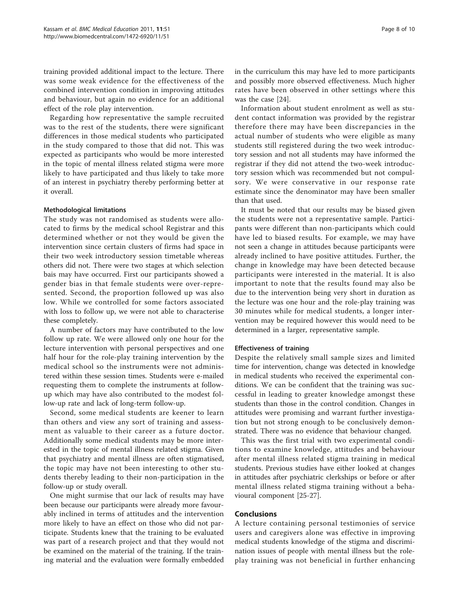training provided additional impact to the lecture. There was some weak evidence for the effectiveness of the combined intervention condition in improving attitudes and behaviour, but again no evidence for an additional effect of the role play intervention.

Regarding how representative the sample recruited was to the rest of the students, there were significant differences in those medical students who participated in the study compared to those that did not. This was expected as participants who would be more interested in the topic of mental illness related stigma were more likely to have participated and thus likely to take more of an interest in psychiatry thereby performing better at it overall.

#### Methodological limitations

The study was not randomised as students were allocated to firms by the medical school Registrar and this determined whether or not they would be given the intervention since certain clusters of firms had space in their two week introductory session timetable whereas others did not. There were two stages at which selection bais may have occurred. First our participants showed a gender bias in that female students were over-represented. Second, the proportion followed up was also low. While we controlled for some factors associated with loss to follow up, we were not able to characterise these completely.

A number of factors may have contributed to the low follow up rate. We were allowed only one hour for the lecture intervention with personal perspectives and one half hour for the role-play training intervention by the medical school so the instruments were not administered within these session times. Students were e-mailed requesting them to complete the instruments at followup which may have also contributed to the modest follow-up rate and lack of long-term follow-up.

Second, some medical students are keener to learn than others and view any sort of training and assessment as valuable to their career as a future doctor. Additionally some medical students may be more interested in the topic of mental illness related stigma. Given that psychiatry and mental illness are often stigmatised, the topic may have not been interesting to other students thereby leading to their non-participation in the follow-up or study overall.

One might surmise that our lack of results may have been because our participants were already more favourably inclined in terms of attitudes and the intervention more likely to have an effect on those who did not participate. Students knew that the training to be evaluated was part of a research project and that they would not be examined on the material of the training. If the training material and the evaluation were formally embedded in the curriculum this may have led to more participants and possibly more observed effectiveness. Much higher rates have been observed in other settings where this was the case [\[24](#page-8-0)].

Information about student enrolment as well as student contact information was provided by the registrar therefore there may have been discrepancies in the actual number of students who were eligible as many students still registered during the two week introductory session and not all students may have informed the registrar if they did not attend the two-week introductory session which was recommended but not compulsory. We were conservative in our response rate estimate since the denominator may have been smaller than that used.

It must be noted that our results may be biased given the students were not a representative sample. Participants were different than non-participants which could have led to biased results. For example, we may have not seen a change in attitudes because participants were already inclined to have positive attitudes. Further, the change in knowledge may have been detected because participants were interested in the material. It is also important to note that the results found may also be due to the intervention being very short in duration as the lecture was one hour and the role-play training was 30 minutes while for medical students, a longer intervention may be required however this would need to be determined in a larger, representative sample.

#### Effectiveness of training

Despite the relatively small sample sizes and limited time for intervention, change was detected in knowledge in medical students who received the experimental conditions. We can be confident that the training was successful in leading to greater knowledge amongst these students than those in the control condition. Changes in attitudes were promising and warrant further investigation but not strong enough to be conclusively demonstrated. There was no evidence that behaviour changed.

This was the first trial with two experimental conditions to examine knowledge, attitudes and behaviour after mental illness related stigma training in medical students. Previous studies have either looked at changes in attitudes after psychiatric clerkships or before or after mental illness related stigma training without a behavioural component [[25](#page-8-0)-[27\]](#page-8-0).

#### Conclusions

A lecture containing personal testimonies of service users and caregivers alone was effective in improving medical students knowledge of the stigma and discrimination issues of people with mental illness but the roleplay training was not beneficial in further enhancing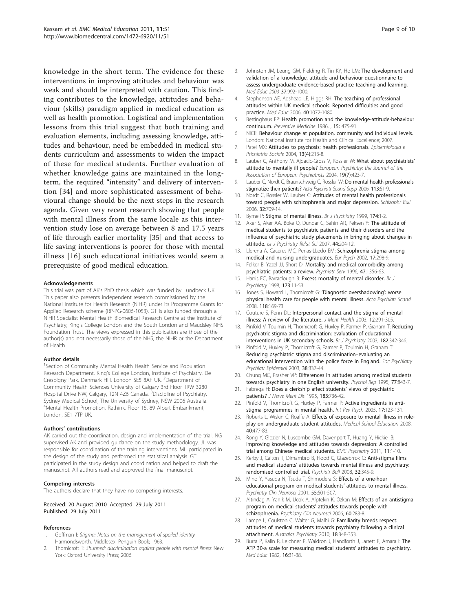<span id="page-8-0"></span>knowledge in the short term. The evidence for these interventions in improving attitudes and behaviour was weak and should be interpreted with caution. This finding contributes to the knowledge, attitudes and behaviour (skills) paradigm applied in medical education as well as health promotion. Logistical and implementation lessons from this trial suggest that both training and evaluation elements, including assessing knowledge, attitudes and behaviour, need be embedded in medical students curriculum and assessments to widen the impact of these for medical students. Further evaluation of whether knowledge gains are maintained in the longterm, the required "intensity" and delivery of intervention [[34](#page-9-0)] and more sophisticated assessment of behavioural change should be the next steps in the research agenda. Given very recent research showing that people with mental illness from the same locale as this intervention study lose on average between 8 and 17.5 years of life through earlier mortality [[35](#page-9-0)] and that access to life saving interventions is poorer for those with mental illness [16] such educational initiatives would seem a prerequisite of good medical education.

#### Acknowledgements

This trial was part of AK's PhD thesis which was funded by Lundbeck UK. This paper also presents independent research commissioned by the National Institute for Health Research (NIHR) under its Programme Grants for Applied Research scheme (RP-PG-0606-1053). GT is also funded through a NIHR Specialist Mental Health Biomedical Research Centre at the Institute of Psychiatry, King's College London and the South London and Maudsley NHS Foundation Trust. The views expressed in this publication are those of the author(s) and not necessarily those of the NHS, the NIHR or the Department of Health.

#### Author details

<sup>1</sup>Section of Community Mental Health Health Service and Population Research Department, King's College London, Institute of Psychiatry, De Crespigny Park, Denmark Hill, London SE5 8AF UK. <sup>2</sup>Department of Community Health Sciences University of Calgary 3rd Floor TRW 3280 Hospital Drive NW, Calgary, T2N 4Z6 Canada. <sup>3</sup> Discipline of Psychiatry, Sydney Medical School, The University of Sydney, NSW 2006 Australia. 4 Mental Health Promotion, Rethink, Floor 15, 89 Albert Embankment, London, SE1 7TP UK.

#### Authors' contributions

AK carried out the coordination, design and implementation of the trial. NG supervised AK and provided guidance on the study methodology. JL was responsible for coordination of the training interventions. ML participated in the design of the study and performed the statistical analysis. GT participated in the study design and coordination and helped to draft the manuscript. All authors read and approved the final manuscript.

#### Competing interests

The authors declare that they have no competing interests.

#### Received: 20 August 2010 Accepted: 29 July 2011 Published: 29 July 2011

#### References

- Goffman I: Stigma: Notes on the management of spoiled identity Harmondsworth, Middlesex: Penguin Book; 1963.
- 2. Thornicroft T: Shunned: discrimination against people with mental illness New York: Oxford University Press; 2006.
- 3. Johnston JM, Leung GM, Fielding R, Tin KY, Ho LM: The development and validation of a knowledge, attitude and behaviour questionnaire to assess undergraduate evidence-based practice teaching and learning. Med Educ 2003 37:992-1000.
- 4. Stephenson AE, Adshead LE, Higgs RH: [The teaching of professional](http://www.ncbi.nlm.nih.gov/pubmed/17054616?dopt=Abstract) [attitudes within UK medical schools: Reported difficulties and good](http://www.ncbi.nlm.nih.gov/pubmed/17054616?dopt=Abstract) [practice.](http://www.ncbi.nlm.nih.gov/pubmed/17054616?dopt=Abstract) Med Educ 2006, 40:1072-1080.
- 5. Bettinghaus EP: Health promotion and the knowledge-attitude-behaviour continuum. Preventive Medicine 1986, , 15: 475-91.
- 6. NICE: Behaviour change at population, community and individual levels. London: National Institute for Health and Clinical Excellence; 2007.
- 7. Patel MX: [Attitudes to psychosis: health professionals.](http://www.ncbi.nlm.nih.gov/pubmed/15690890?dopt=Abstract) Epidemiologia e Psichiatria Sociale 2004, 13(4):213-8.
- 8. Lauber C, Anthony M, Ajdacic-Gross V, Rossler W: What about psychiatrists' attitude to mentally ill people? European Psychiatry: the Journal of the Association of European Psychiatrists 2004, 19(7):423-7.
- 9. Lauber C, Nordt C, Braunschweig C, Rossler W: Do mental health professionals stigmatize their patients? Acta Psychiatr Scand Supp 2006, 113:51-9.
- 10. Nordt C, Rossler W, Lauber C: [Attitudes of mental health professionals](http://www.ncbi.nlm.nih.gov/pubmed/16510695?dopt=Abstract) [toward people with schizophrenia and major depression.](http://www.ncbi.nlm.nih.gov/pubmed/16510695?dopt=Abstract) Schizophr Bull 2006, 32:709-14.
- 11. Byrne P: [Stigma of mental illness.](http://www.ncbi.nlm.nih.gov/pubmed/10211142?dopt=Abstract) Br J Psychiatry 1999, 174:1-2.
- 12. Aker S, Aker AA, Boke O, Dundar C, Sahin AR, Peksen Y: [The attitude of](http://www.ncbi.nlm.nih.gov/pubmed/18078255?dopt=Abstract) [medical students to psychiatric patients and their disorders and the](http://www.ncbi.nlm.nih.gov/pubmed/18078255?dopt=Abstract) [influence of psychiatric study placements in bringing about changes in](http://www.ncbi.nlm.nih.gov/pubmed/18078255?dopt=Abstract) [attitude.](http://www.ncbi.nlm.nih.gov/pubmed/18078255?dopt=Abstract) Isr J Psychiatry Relat Sci 2007, 44:204-12.
- 13. Llerena A, Caceres MC, Penas-LLedo EM: Schizophrenia stigma among medical and nursing undergraduates. Eur Psych 2002, 17:298-9.
- 14. Felker B, Yazel JJ, Short D: [Mortality and medical comorbidity among](http://www.ncbi.nlm.nih.gov/pubmed/9117475?dopt=Abstract) [psychiatric patients: a review.](http://www.ncbi.nlm.nih.gov/pubmed/9117475?dopt=Abstract) Psychiatr Serv 1996, 47:1356-63.
- 15. Harris EC, Barraclough B: [Excess mortality of mental disorder.](http://www.ncbi.nlm.nih.gov/pubmed/9850203?dopt=Abstract) Br J Psychiatry 1998, 173:11-53.
- 16. Jones S, Howard L, Thornicroft G: '[Diagnostic overshadowing](http://www.ncbi.nlm.nih.gov/pubmed/18699951?dopt=Abstract)': worse [physical health care for people with mental illness.](http://www.ncbi.nlm.nih.gov/pubmed/18699951?dopt=Abstract) Acta Psychiatr Scand 2008, 118:169-73.
- 17. Couture S, Penn DL: Interpersonal contact and the stigma of mental illness: A review of the literature. J Ment Health 2003, 12:291-305.
- 18. Pinfold V, Toulmin H, Thornicroft G, Huxley P, Farmer P, Graham T: [Reducing](http://www.ncbi.nlm.nih.gov/pubmed/12668411?dopt=Abstract) [psychiatric stigma and discrimination: evaluation of educational](http://www.ncbi.nlm.nih.gov/pubmed/12668411?dopt=Abstract) [interventions in UK secondary schools.](http://www.ncbi.nlm.nih.gov/pubmed/12668411?dopt=Abstract) Br J Psychiatry 2003, 182:342-346.
- 19. Pinfold V, Huxley P, Thornicroft G, Farmer P, Toulmin H, Graham T: [Reducing psychiatric stigma and discrimination](http://www.ncbi.nlm.nih.gov/pubmed/12799785?dopt=Abstract)–evaluating an [educational intervention with the police force in England.](http://www.ncbi.nlm.nih.gov/pubmed/12799785?dopt=Abstract) Soc Psychiatry Psychiatr Epidemiol 2003, 38:337-44.
- 20. Chung MC, Prasher VP: [Differences in attitudes among medical students](http://www.ncbi.nlm.nih.gov/pubmed/8559921?dopt=Abstract) [towards psychiatry in one English university.](http://www.ncbi.nlm.nih.gov/pubmed/8559921?dopt=Abstract) Psychol Rep 1995, 77:843-7.
- 21. Fabrega H: Does a clerkship affect students' views of psychiatric patients? J Nerve Ment Dis 1995, 183:736-42.
- 22. Pinfold V, Thornicroft G, Huxley P, Farmer P: Active ingredients in antistigma programmes in mental health. Int Rev Psych 2005, 17:123-131.
- 23. Roberts L, Wiskin C, Roalfe A: Effects of exposure to mental illness in roleplay on undergraduate student attitudes. Medical School Education 2008, 40:477-83.
- 24. Rong Y, Glozier N, Luscombe GM, Davenport T, Huang Y, Hickie IB: [Improving knowledge and attitudes towards depression: A controlled](http://www.ncbi.nlm.nih.gov/pubmed/21194496?dopt=Abstract) [trial among Chinese medical students.](http://www.ncbi.nlm.nih.gov/pubmed/21194496?dopt=Abstract) BMC Psychiatry 2011, 11:1-10.
- 25. Kerby J, Calton T, Dimambro B, Flood C, Glazebrrok C: Anti-stigma films and medical students' attitudes towards mental illness and psychiatry: randomised controlled trial. Psychiatr Bull 2008, 32:345-9.
- 26. Mino Y, Yasuda N, Tsuda T, Shimodera S: [Effects of a one-hour](http://www.ncbi.nlm.nih.gov/pubmed/11555346?dopt=Abstract) [educational program on medical students](http://www.ncbi.nlm.nih.gov/pubmed/11555346?dopt=Abstract)' attitudes to mental illness. Psychiatry Clin Neurosci 2001, 55:501-507.
- 27. Altindag A, Yanik M, Ucok A, Alptekin K, Ozkan M: [Effects of an antistigma](http://www.ncbi.nlm.nih.gov/pubmed/16732743?dopt=Abstract) program on medical students' [attitudes towards people with](http://www.ncbi.nlm.nih.gov/pubmed/16732743?dopt=Abstract) [schizophrenia.](http://www.ncbi.nlm.nih.gov/pubmed/16732743?dopt=Abstract) Psychiatry Clin Neurosci 2006, 60:283-8.
- 28. Lampe L, Coulston C, Walter G, Malhi G: [Familiarity breeds respect:](http://www.ncbi.nlm.nih.gov/pubmed/20645902?dopt=Abstract) [attitudes of medical students towards psychiatry following a clinical](http://www.ncbi.nlm.nih.gov/pubmed/20645902?dopt=Abstract) [attachment.](http://www.ncbi.nlm.nih.gov/pubmed/20645902?dopt=Abstract) Australas Psychiatry 2010, 18:348-353.
- 29. Burra P, Kalin R, Leichner P, Waldron J, Handforth J, Jarrett F, Amara I: [The](http://www.ncbi.nlm.nih.gov/pubmed/7057722?dopt=Abstract) ATP [30-a scale for measuring medical students](http://www.ncbi.nlm.nih.gov/pubmed/7057722?dopt=Abstract)' attitudes to psychiatry. Med Educ 1982, 16:31-38.